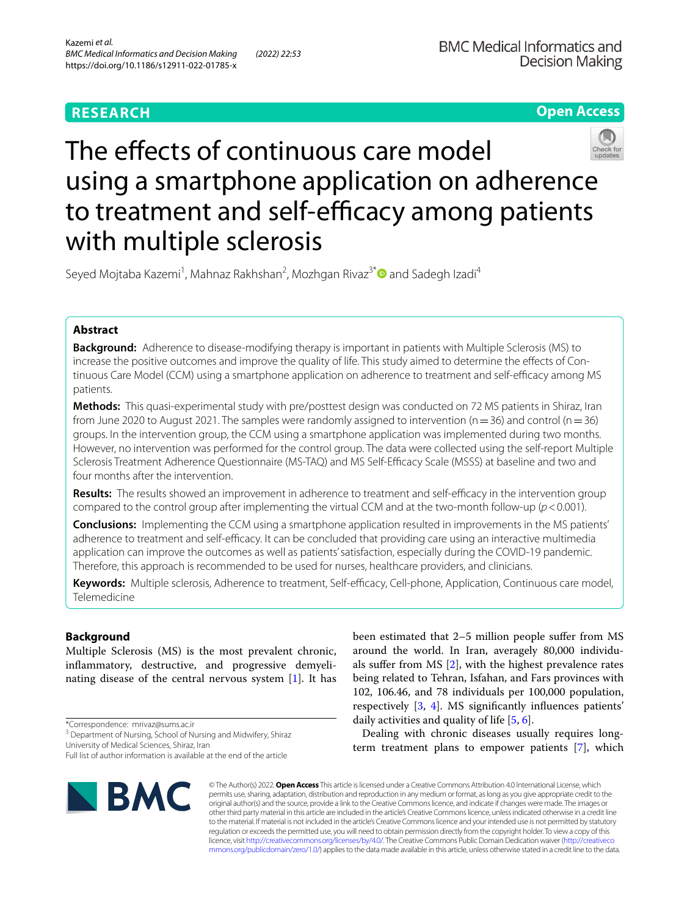**Open Access**



# The effects of continuous care model using a smartphone application on adherence to treatment and self-efficacy among patients with multiple sclerosis

Seyed Mojtaba Kazemi<sup>1</sup>, Mahnaz Rakhshan<sup>2</sup>, Mozhgan Rivaz<sup>3[\\*](http://orcid.org/0000-0002-3581-7112)</sup> and Sadegh Izadi<sup>4</sup>

## **Abstract**

**Background:** Adherence to disease-modifying therapy is important in patients with Multiple Sclerosis (MS) to increase the positive outcomes and improve the quality of life. This study aimed to determine the efects of Continuous Care Model (CCM) using a smartphone application on adherence to treatment and self-efficacy among MS patients.

**Methods:** This quasi-experimental study with pre/posttest design was conducted on 72 MS patients in Shiraz, Iran from June 2020 to August 2021. The samples were randomly assigned to intervention ( $n=36$ ) and control ( $n=36$ ) groups. In the intervention group, the CCM using a smartphone application was implemented during two months. However, no intervention was performed for the control group. The data were collected using the self-report Multiple Sclerosis Treatment Adherence Questionnaire (MS-TAQ) and MS Self-Efficacy Scale (MSSS) at baseline and two and four months after the intervention.

**Results:** The results showed an improvement in adherence to treatment and self-efficacy in the intervention group compared to the control group after implementing the virtual CCM and at the two-month follow-up (*p*<0.001).

**Conclusions:** Implementing the CCM using a smartphone application resulted in improvements in the MS patients' adherence to treatment and self-efficacy. It can be concluded that providing care using an interactive multimedia application can improve the outcomes as well as patients' satisfaction, especially during the COVID-19 pandemic. Therefore, this approach is recommended to be used for nurses, healthcare providers, and clinicians.

Keywords: Multiple sclerosis, Adherence to treatment, Self-efficacy, Cell-phone, Application, Continuous care model, Telemedicine

# **Background**

Multiple Sclerosis (MS) is the most prevalent chronic, infammatory, destructive, and progressive demyelinating disease of the central nervous system [\[1](#page-6-0)]. It has

\*Correspondence: mrivaz@sums.ac.ir

University of Medical Sciences, Shiraz, Iran

Full list of author information is available at the end of the article



been estimated that 2–5 million people sufer from MS around the world. In Iran, averagely 80,000 individuals sufer from MS [\[2](#page-6-1)], with the highest prevalence rates being related to Tehran, Isfahan, and Fars provinces with 102, 106.46, and 78 individuals per 100,000 population, respectively [\[3](#page-6-2), [4\]](#page-6-3). MS signifcantly infuences patients' daily activities and quality of life [\[5](#page-6-4), [6\]](#page-6-5).

Dealing with chronic diseases usually requires longterm treatment plans to empower patients [[7](#page-6-6)], which

© The Author(s) 2022. **Open Access** This article is licensed under a Creative Commons Attribution 4.0 International License, which permits use, sharing, adaptation, distribution and reproduction in any medium or format, as long as you give appropriate credit to the original author(s) and the source, provide a link to the Creative Commons licence, and indicate if changes were made. The images or other third party material in this article are included in the article's Creative Commons licence, unless indicated otherwise in a credit line to the material. If material is not included in the article's Creative Commons licence and your intended use is not permitted by statutory regulation or exceeds the permitted use, you will need to obtain permission directly from the copyright holder. To view a copy of this licence, visit [http://creativecommons.org/licenses/by/4.0/.](http://creativecommons.org/licenses/by/4.0/) The Creative Commons Public Domain Dedication waiver ([http://creativeco](http://creativecommons.org/publicdomain/zero/1.0/) [mmons.org/publicdomain/zero/1.0/](http://creativecommons.org/publicdomain/zero/1.0/)) applies to the data made available in this article, unless otherwise stated in a credit line to the data.

<sup>&</sup>lt;sup>3</sup> Department of Nursing, School of Nursing and Midwifery, Shiraz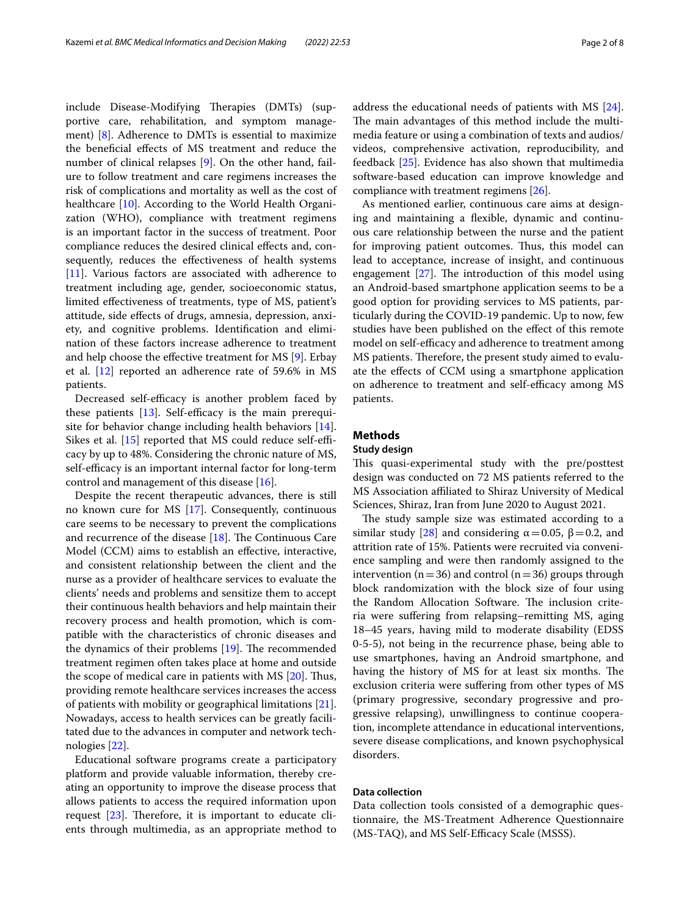include Disease-Modifying Therapies (DMTs) (supportive care, rehabilitation, and symptom management) [[8\]](#page-6-7). Adherence to DMTs is essential to maximize the benefcial efects of MS treatment and reduce the number of clinical relapses [[9\]](#page-6-8). On the other hand, failure to follow treatment and care regimens increases the risk of complications and mortality as well as the cost of healthcare [[10\]](#page-6-9). According to the World Health Organization (WHO), compliance with treatment regimens is an important factor in the success of treatment. Poor compliance reduces the desired clinical efects and, consequently, reduces the efectiveness of health systems [[11\]](#page-6-10). Various factors are associated with adherence to treatment including age, gender, socioeconomic status, limited efectiveness of treatments, type of MS, patient's attitude, side efects of drugs, amnesia, depression, anxiety, and cognitive problems. Identifcation and elimination of these factors increase adherence to treatment and help choose the efective treatment for MS [\[9](#page-6-8)]. Erbay et al. [[12](#page-6-11)] reported an adherence rate of 59.6% in MS patients.

Decreased self-efficacy is another problem faced by these patients  $[13]$  $[13]$ . Self-efficacy is the main prerequisite for behavior change including health behaviors [\[14](#page-6-13)]. Sikes et al.  $[15]$  $[15]$  $[15]$  reported that MS could reduce self-efficacy by up to 48%. Considering the chronic nature of MS, self-efficacy is an important internal factor for long-term control and management of this disease [[16\]](#page-6-15).

Despite the recent therapeutic advances, there is still no known cure for MS [\[17\]](#page-6-16). Consequently, continuous care seems to be necessary to prevent the complications and recurrence of the disease  $[18]$  $[18]$ . The Continuous Care Model (CCM) aims to establish an efective, interactive, and consistent relationship between the client and the nurse as a provider of healthcare services to evaluate the clients' needs and problems and sensitize them to accept their continuous health behaviors and help maintain their recovery process and health promotion, which is compatible with the characteristics of chronic diseases and the dynamics of their problems  $[19]$ . The recommended treatment regimen often takes place at home and outside the scope of medical care in patients with MS  $[20]$  $[20]$ . Thus, providing remote healthcare services increases the access of patients with mobility or geographical limitations [\[21](#page-6-20)]. Nowadays, access to health services can be greatly facilitated due to the advances in computer and network technologies [\[22](#page-6-21)].

Educational software programs create a participatory platform and provide valuable information, thereby creating an opportunity to improve the disease process that allows patients to access the required information upon request  $[23]$  $[23]$ . Therefore, it is important to educate clients through multimedia, as an appropriate method to address the educational needs of patients with MS [\[24](#page-6-23)]. The main advantages of this method include the multimedia feature or using a combination of texts and audios/ videos, comprehensive activation, reproducibility, and feedback [\[25](#page-6-24)]. Evidence has also shown that multimedia software-based education can improve knowledge and compliance with treatment regimens [\[26](#page-7-0)].

As mentioned earlier, continuous care aims at designing and maintaining a fexible, dynamic and continuous care relationship between the nurse and the patient for improving patient outcomes. Thus, this model can lead to acceptance, increase of insight, and continuous engagement  $[27]$  $[27]$ . The introduction of this model using an Android-based smartphone application seems to be a good option for providing services to MS patients, particularly during the COVID-19 pandemic. Up to now, few studies have been published on the efect of this remote model on self-efficacy and adherence to treatment among MS patients. Therefore, the present study aimed to evaluate the efects of CCM using a smartphone application on adherence to treatment and self-efficacy among MS patients.

## **Methods**

## **Study design**

This quasi-experimental study with the pre/posttest design was conducted on 72 MS patients referred to the MS Association afliated to Shiraz University of Medical Sciences, Shiraz, Iran from June 2020 to August 2021.

The study sample size was estimated according to a similar study [\[28](#page-7-2)] and considering  $\alpha$  = 0.05, β = 0.2, and attrition rate of 15%. Patients were recruited via convenience sampling and were then randomly assigned to the intervention ( $n=36$ ) and control ( $n=36$ ) groups through block randomization with the block size of four using the Random Allocation Software. The inclusion criteria were sufering from relapsing–remitting MS, aging 18–45 years, having mild to moderate disability (EDSS 0-5-5), not being in the recurrence phase, being able to use smartphones, having an Android smartphone, and having the history of MS for at least six months. The exclusion criteria were sufering from other types of MS (primary progressive, secondary progressive and progressive relapsing), unwillingness to continue cooperation, incomplete attendance in educational interventions, severe disease complications, and known psychophysical disorders.

## **Data collection**

Data collection tools consisted of a demographic questionnaire, the MS-Treatment Adherence Questionnaire (MS-TAQ), and MS Self-Efficacy Scale (MSSS).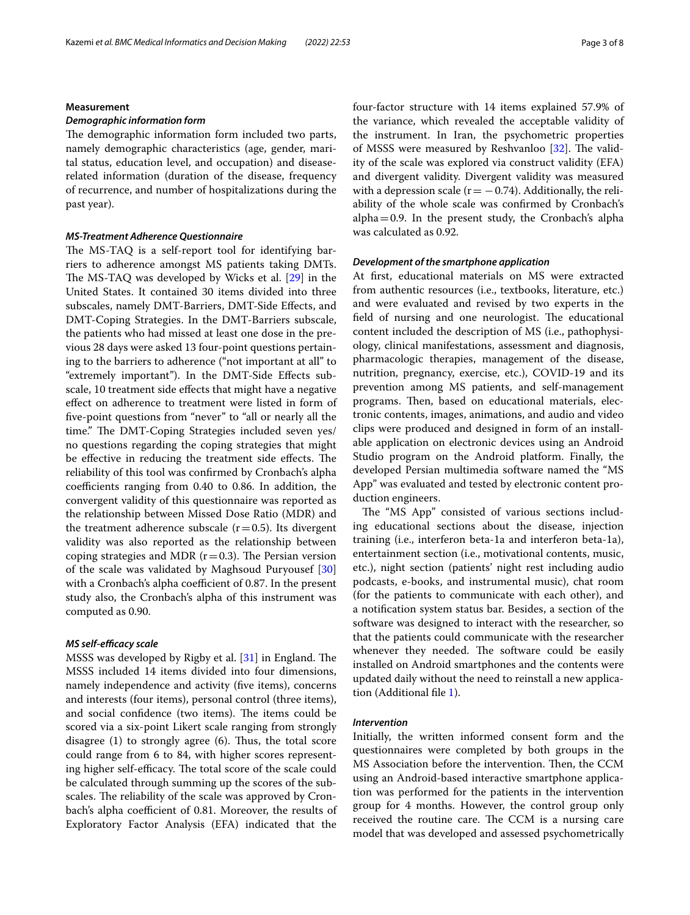## **Measurement**

## *Demographic information form*

The demographic information form included two parts, namely demographic characteristics (age, gender, marital status, education level, and occupation) and diseaserelated information (duration of the disease, frequency of recurrence, and number of hospitalizations during the past year).

#### *MS‑Treatment Adherence Questionnaire*

The MS-TAQ is a self-report tool for identifying barriers to adherence amongst MS patients taking DMTs. The MS-TAQ was developed by Wicks et al. [[29](#page-7-3)] in the United States. It contained 30 items divided into three subscales, namely DMT-Barriers, DMT-Side Efects, and DMT-Coping Strategies. In the DMT-Barriers subscale, the patients who had missed at least one dose in the previous 28 days were asked 13 four-point questions pertaining to the barriers to adherence ("not important at all" to "extremely important"). In the DMT-Side Efects subscale, 10 treatment side efects that might have a negative efect on adherence to treatment were listed in form of fve-point questions from "never" to "all or nearly all the time." The DMT-Coping Strategies included seven yes/ no questions regarding the coping strategies that might be effective in reducing the treatment side effects. The reliability of this tool was confrmed by Cronbach's alpha coefficients ranging from  $0.40$  to  $0.86$ . In addition, the convergent validity of this questionnaire was reported as the relationship between Missed Dose Ratio (MDR) and the treatment adherence subscale  $(r=0.5)$ . Its divergent validity was also reported as the relationship between coping strategies and MDR ( $r=0.3$ ). The Persian version of the scale was validated by Maghsoud Puryousef [[30](#page-7-4)] with a Cronbach's alpha coefficient of 0.87. In the present study also, the Cronbach's alpha of this instrument was computed as 0.90.

#### *MS self‑efcacy scale*

MSSS was developed by Rigby et al.  $[31]$  in England. The MSSS included 14 items divided into four dimensions, namely independence and activity (fve items), concerns and interests (four items), personal control (three items), and social confidence (two items). The items could be scored via a six-point Likert scale ranging from strongly disagree  $(1)$  to strongly agree  $(6)$ . Thus, the total score could range from 6 to 84, with higher scores representing higher self-efficacy. The total score of the scale could be calculated through summing up the scores of the subscales. The reliability of the scale was approved by Cronbach's alpha coefficient of 0.81. Moreover, the results of Exploratory Factor Analysis (EFA) indicated that the four-factor structure with 14 items explained 57.9% of the variance, which revealed the acceptable validity of the instrument. In Iran, the psychometric properties of MSSS were measured by Reshvanloo  $[32]$  $[32]$ . The validity of the scale was explored via construct validity (EFA) and divergent validity. Divergent validity was measured with a depression scale ( $r = -0.74$ ). Additionally, the reliability of the whole scale was confrmed by Cronbach's  $alpha=0.9$ . In the present study, the Cronbach's alpha was calculated as 0.92.

## *Development of the smartphone application*

At frst, educational materials on MS were extracted from authentic resources (i.e., textbooks, literature, etc.) and were evaluated and revised by two experts in the field of nursing and one neurologist. The educational content included the description of MS (i.e., pathophysiology, clinical manifestations, assessment and diagnosis, pharmacologic therapies, management of the disease, nutrition, pregnancy, exercise, etc.), COVID-19 and its prevention among MS patients, and self-management programs. Then, based on educational materials, electronic contents, images, animations, and audio and video clips were produced and designed in form of an installable application on electronic devices using an Android Studio program on the Android platform. Finally, the developed Persian multimedia software named the "MS App" was evaluated and tested by electronic content production engineers.

The "MS App" consisted of various sections including educational sections about the disease, injection training (i.e., interferon beta-1a and interferon beta-1a), entertainment section (i.e., motivational contents, music, etc.), night section (patients' night rest including audio podcasts, e-books, and instrumental music), chat room (for the patients to communicate with each other), and a notifcation system status bar. Besides, a section of the software was designed to interact with the researcher, so that the patients could communicate with the researcher whenever they needed. The software could be easily installed on Android smartphones and the contents were updated daily without the need to reinstall a new application (Additional fle [1](#page-5-0)).

#### *Intervention*

Initially, the written informed consent form and the questionnaires were completed by both groups in the MS Association before the intervention. Then, the CCM using an Android-based interactive smartphone application was performed for the patients in the intervention group for 4 months. However, the control group only received the routine care. The CCM is a nursing care model that was developed and assessed psychometrically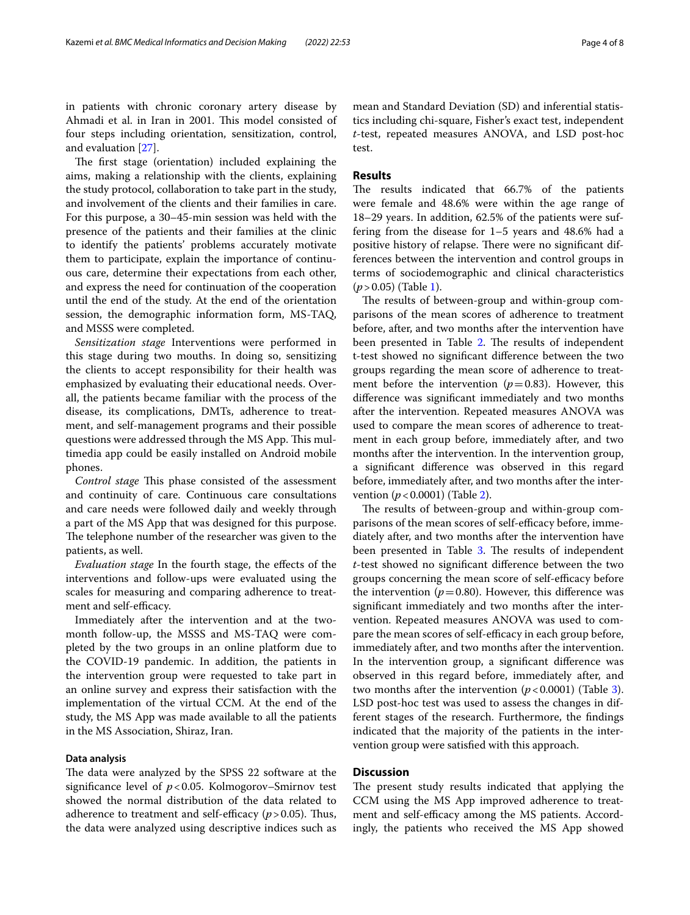in patients with chronic coronary artery disease by Ahmadi et al. in Iran in 2001. This model consisted of four steps including orientation, sensitization, control, and evaluation [\[27](#page-7-1)].

The first stage (orientation) included explaining the aims, making a relationship with the clients, explaining the study protocol, collaboration to take part in the study, and involvement of the clients and their families in care. For this purpose, a 30–45-min session was held with the presence of the patients and their families at the clinic to identify the patients' problems accurately motivate them to participate, explain the importance of continuous care, determine their expectations from each other, and express the need for continuation of the cooperation until the end of the study. At the end of the orientation session, the demographic information form, MS-TAQ, and MSSS were completed.

*Sensitization stage* Interventions were performed in this stage during two mouths. In doing so, sensitizing the clients to accept responsibility for their health was emphasized by evaluating their educational needs. Overall, the patients became familiar with the process of the disease, its complications, DMTs, adherence to treatment, and self-management programs and their possible questions were addressed through the MS App. This multimedia app could be easily installed on Android mobile phones.

*Control stage* This phase consisted of the assessment and continuity of care. Continuous care consultations and care needs were followed daily and weekly through a part of the MS App that was designed for this purpose. The telephone number of the researcher was given to the patients, as well.

*Evaluation stage* In the fourth stage, the efects of the interventions and follow-ups were evaluated using the scales for measuring and comparing adherence to treatment and self-efficacy.

Immediately after the intervention and at the twomonth follow-up, the MSSS and MS-TAQ were completed by the two groups in an online platform due to the COVID-19 pandemic. In addition, the patients in the intervention group were requested to take part in an online survey and express their satisfaction with the implementation of the virtual CCM. At the end of the study, the MS App was made available to all the patients in the MS Association, Shiraz, Iran.

## **Data analysis**

The data were analyzed by the SPSS 22 software at the signifcance level of *p*<0.05. Kolmogorov–Smirnov test showed the normal distribution of the data related to adherence to treatment and self-efficacy  $(p > 0.05)$ . Thus, the data were analyzed using descriptive indices such as mean and Standard Deviation (SD) and inferential statistics including chi-square, Fisher's exact test, independent *t*-test, repeated measures ANOVA, and LSD post-hoc test.

## **Results**

The results indicated that 66.7% of the patients were female and 48.6% were within the age range of 18–29 years. In addition, 62.5% of the patients were suffering from the disease for 1–5 years and 48.6% had a positive history of relapse. There were no significant differences between the intervention and control groups in terms of sociodemographic and clinical characteristics (*p*>0.05) (Table [1](#page-4-0)).

The results of between-group and within-group comparisons of the mean scores of adherence to treatment before, after, and two months after the intervention have been presented in Table [2](#page-4-1). The results of independent t-test showed no signifcant diference between the two groups regarding the mean score of adherence to treatment before the intervention ( $p=0.83$ ). However, this diference was signifcant immediately and two months after the intervention. Repeated measures ANOVA was used to compare the mean scores of adherence to treatment in each group before, immediately after, and two months after the intervention. In the intervention group, a signifcant diference was observed in this regard before, immediately after, and two months after the intervention (*p*<0.0001) (Table [2](#page-4-1)).

The results of between-group and within-group comparisons of the mean scores of self-efficacy before, immediately after, and two months after the intervention have been presented in Table [3](#page-5-1). The results of independent *t*-test showed no signifcant diference between the two groups concerning the mean score of self-efficacy before the intervention ( $p=0.80$ ). However, this difference was signifcant immediately and two months after the intervention. Repeated measures ANOVA was used to compare the mean scores of self-efficacy in each group before, immediately after, and two months after the intervention. In the intervention group, a signifcant diference was observed in this regard before, immediately after, and two months after the intervention  $(p<0.0001)$  (Table [3](#page-5-1)). LSD post-hoc test was used to assess the changes in different stages of the research. Furthermore, the fndings indicated that the majority of the patients in the intervention group were satisfed with this approach.

## **Discussion**

The present study results indicated that applying the CCM using the MS App improved adherence to treatment and self-efficacy among the MS patients. Accordingly, the patients who received the MS App showed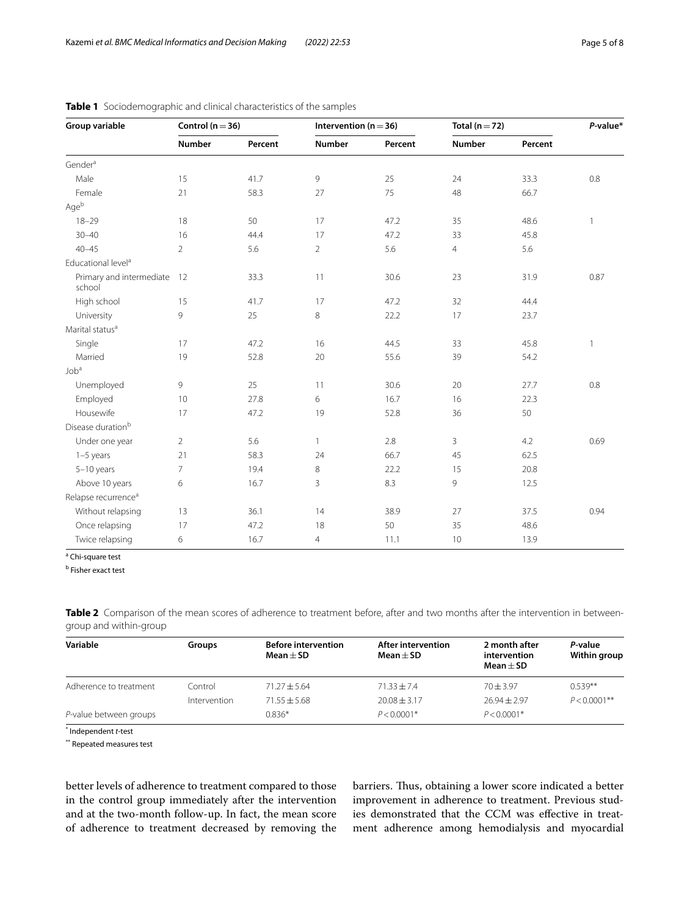| Group variable                     | Control ( $n = 36$ ) |         | Intervention ( $n = 36$ ) |         | Total ( $n = 72$ ) |         | P-value*     |
|------------------------------------|----------------------|---------|---------------------------|---------|--------------------|---------|--------------|
|                                    | <b>Number</b>        | Percent | <b>Number</b>             | Percent | <b>Number</b>      | Percent |              |
| Gender <sup>a</sup>                |                      |         |                           |         |                    |         |              |
| Male                               | 15                   | 41.7    | 9                         | 25      | 24                 | 33.3    | 0.8          |
| Female                             | 21                   | 58.3    | 27                        | 75      | 48                 | 66.7    |              |
| Ageb                               |                      |         |                           |         |                    |         |              |
| $18 - 29$                          | 18                   | 50      | 17                        | 47.2    | 35                 | 48.6    | $\mathbf{1}$ |
| $30 - 40$                          | 16                   | 44.4    | 17                        | 47.2    | 33                 | 45.8    |              |
| $40 - 45$                          | $\overline{2}$       | 5.6     | $\overline{2}$            | 5.6     | $\overline{4}$     | 5.6     |              |
| Educational level <sup>a</sup>     |                      |         |                           |         |                    |         |              |
| Primary and intermediate<br>school | 12                   | 33.3    | $11$                      | 30.6    | 23                 | 31.9    | 0.87         |
| High school                        | 15                   | 41.7    | 17                        | 47.2    | 32                 | 44.4    |              |
| University                         | 9                    | 25      | 8                         | 22.2    | 17                 | 23.7    |              |
| Marital status <sup>a</sup>        |                      |         |                           |         |                    |         |              |
| Single                             | 17                   | 47.2    | 16                        | 44.5    | 33                 | 45.8    | $\mathbf{1}$ |
| Married                            | 19                   | 52.8    | 20                        | 55.6    | 39                 | 54.2    |              |
| Job <sup>a</sup>                   |                      |         |                           |         |                    |         |              |
| Unemployed                         | 9                    | 25      | 11                        | 30.6    | 20                 | 27.7    | 0.8          |
| Employed                           | 10                   | 27.8    | 6                         | 16.7    | 16                 | 22.3    |              |
| Housewife                          | 17                   | 47.2    | 19                        | 52.8    | 36                 | 50      |              |
| Disease duration <sup>b</sup>      |                      |         |                           |         |                    |         |              |
| Under one year                     | $\overline{2}$       | 5.6     | $\mathbf{1}$              | 2.8     | 3                  | 4.2     | 0.69         |
| $1-5$ years                        | 21                   | 58.3    | 24                        | 66.7    | 45                 | 62.5    |              |
| $5-10$ years                       | $\overline{7}$       | 19.4    | 8                         | 22.2    | 15                 | 20.8    |              |
| Above 10 years                     | 6                    | 16.7    | 3                         | 8.3     | 9                  | 12.5    |              |
| Relapse recurrence <sup>a</sup>    |                      |         |                           |         |                    |         |              |
| Without relapsing                  | 13                   | 36.1    | 14                        | 38.9    | 27                 | 37.5    | 0.94         |
| Once relapsing                     | 17                   | 47.2    | 18                        | 50      | 35                 | 48.6    |              |
| Twice relapsing                    | 6                    | 16.7    | $\overline{4}$            | 11.1    | $10$               | 13.9    |              |

## <span id="page-4-0"></span>**Table 1** Sociodemographic and clinical characteristics of the samples

<sup>a</sup> Chi-square test

<sup>b</sup> Fisher exact test

<span id="page-4-1"></span>Table 2 Comparison of the mean scores of adherence to treatment before, after and two months after the intervention in betweengroup and within-group

| Variable               | Groups       | <b>Before intervention</b><br>$Mean + SD$ | After intervention<br>Mean $\pm$ SD | 2 month after<br>intervention<br>$Mean + SD$ | P-value<br>Within group |
|------------------------|--------------|-------------------------------------------|-------------------------------------|----------------------------------------------|-------------------------|
| Adherence to treatment | Control      | $71.27 + 5.64$                            | $71.33 + 7.4$                       | $70 + 3.97$                                  | $0.539**$               |
|                        | Intervention | $71.55 + 5.68$                            | $20.08 + 3.17$                      | $26.94 + 2.97$                               | $P < 0.0001$ **         |
| P-value between groups |              | $0.836*$                                  | $P < 0.0001*$                       | $P < 0.0001*$                                |                         |

\* Independent *t*-test

\*\* Repeated measures test

better levels of adherence to treatment compared to those in the control group immediately after the intervention and at the two-month follow-up. In fact, the mean score of adherence to treatment decreased by removing the

barriers. Thus, obtaining a lower score indicated a better improvement in adherence to treatment. Previous studies demonstrated that the CCM was efective in treatment adherence among hemodialysis and myocardial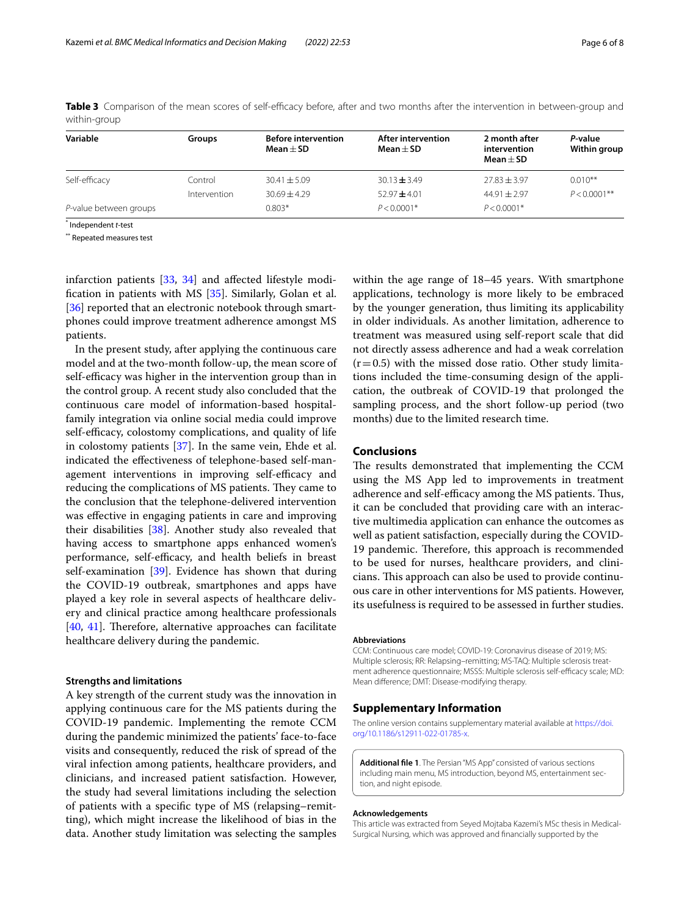| Variable               | Groups       | <b>Before intervention</b><br>$Mean + SD$ | After intervention<br>Mean $\pm$ SD | 2 month after<br>intervention<br>Mean $\pm$ SD | P-value<br>Within group |
|------------------------|--------------|-------------------------------------------|-------------------------------------|------------------------------------------------|-------------------------|
| Self-efficacy          | Control      | $30.41 + 5.09$                            | $30.13 \pm 3.49$                    | $77.83 + 3.97$                                 | $0.010**$               |
|                        | Intervention | $30.69 + 4.29$                            | $52.97 + 4.01$                      | $44.91 + 2.97$                                 | $P < 0.0001$ **         |
| P-value between groups |              | $0.803*$                                  | $P < 0.0001*$                       | $P < 0.0001*$                                  |                         |

<span id="page-5-1"></span>**Table 3** Comparison of the mean scores of self-efficacy before, after and two months after the intervention in between-group and within-group

\* Independent *t*-test

\*\* Repeated measures test

infarction patients [\[33,](#page-7-7) [34](#page-7-8)] and afected lifestyle modifcation in patients with MS [\[35](#page-7-9)]. Similarly, Golan et al. [[36\]](#page-7-10) reported that an electronic notebook through smartphones could improve treatment adherence amongst MS patients.

In the present study, after applying the continuous care model and at the two-month follow-up, the mean score of self-efficacy was higher in the intervention group than in the control group. A recent study also concluded that the continuous care model of information-based hospitalfamily integration via online social media could improve self-efficacy, colostomy complications, and quality of life in colostomy patients [\[37](#page-7-11)]. In the same vein, Ehde et al. indicated the efectiveness of telephone-based self-management interventions in improving self-efficacy and reducing the complications of MS patients. They came to the conclusion that the telephone-delivered intervention was efective in engaging patients in care and improving their disabilities [\[38\]](#page-7-12). Another study also revealed that having access to smartphone apps enhanced women's performance, self-efficacy, and health beliefs in breast self-examination [[39](#page-7-13)]. Evidence has shown that during the COVID-19 outbreak, smartphones and apps have played a key role in several aspects of healthcare delivery and clinical practice among healthcare professionals  $[40, 41]$  $[40, 41]$  $[40, 41]$  $[40, 41]$ . Therefore, alternative approaches can facilitate healthcare delivery during the pandemic.

## **Strengths and limitations**

A key strength of the current study was the innovation in applying continuous care for the MS patients during the COVID-19 pandemic. Implementing the remote CCM during the pandemic minimized the patients' face-to-face visits and consequently, reduced the risk of spread of the viral infection among patients, healthcare providers, and clinicians, and increased patient satisfaction. However, the study had several limitations including the selection of patients with a specifc type of MS (relapsing–remitting), which might increase the likelihood of bias in the data. Another study limitation was selecting the samples within the age range of 18–45 years. With smartphone applications, technology is more likely to be embraced by the younger generation, thus limiting its applicability in older individuals. As another limitation, adherence to treatment was measured using self-report scale that did not directly assess adherence and had a weak correlation  $(r=0.5)$  with the missed dose ratio. Other study limitations included the time-consuming design of the application, the outbreak of COVID-19 that prolonged the sampling process, and the short follow-up period (two months) due to the limited research time.

## **Conclusions**

The results demonstrated that implementing the CCM using the MS App led to improvements in treatment adherence and self-efficacy among the MS patients. Thus, it can be concluded that providing care with an interactive multimedia application can enhance the outcomes as well as patient satisfaction, especially during the COVID-19 pandemic. Therefore, this approach is recommended to be used for nurses, healthcare providers, and clinicians. This approach can also be used to provide continuous care in other interventions for MS patients. However, its usefulness is required to be assessed in further studies.

#### **Abbreviations**

CCM: Continuous care model; COVID-19: Coronavirus disease of 2019; MS: Multiple sclerosis; RR: Relapsing–remitting; MS-TAQ: Multiple sclerosis treatment adherence questionnaire; MSSS: Multiple sclerosis self-efficacy scale; MD: Mean diference; DMT: Disease-modifying therapy.

## **Supplementary Information**

The online version contains supplementary material available at [https://doi.](https://doi.org/10.1186/s12911-022-01785-x) [org/10.1186/s12911-022-01785-x.](https://doi.org/10.1186/s12911-022-01785-x)

<span id="page-5-0"></span>**Additional fle 1**. The Persian "MS App" consisted of various sections including main menu, MS introduction, beyond MS, entertainment section, and night episode

#### **Acknowledgements**

This article was extracted from Seyed Mojtaba Kazemi's MSc thesis in Medical-Surgical Nursing, which was approved and fnancially supported by the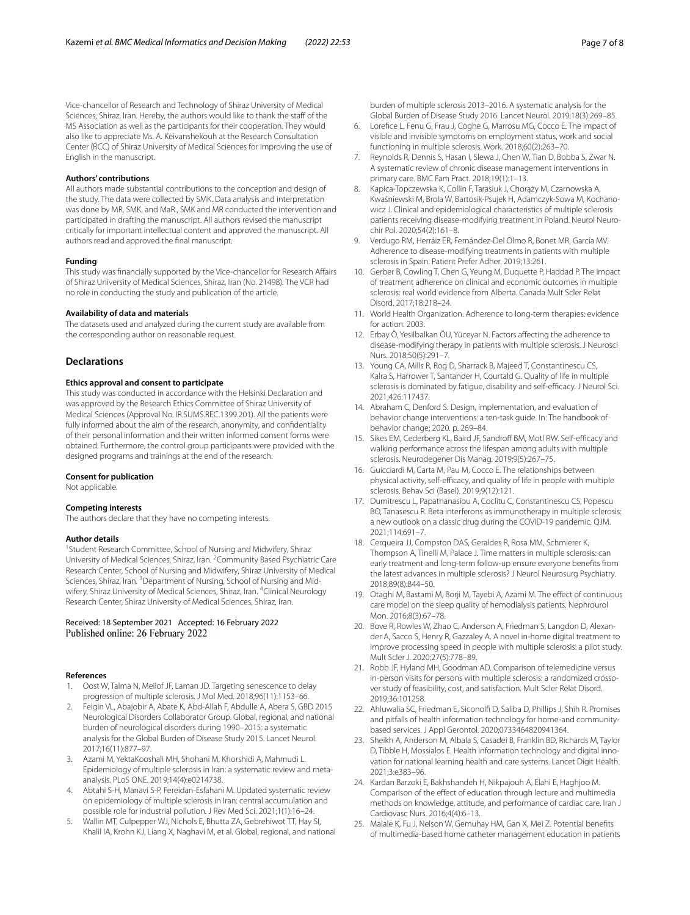Vice-chancellor of Research and Technology of Shiraz University of Medical Sciences, Shiraz, Iran. Hereby, the authors would like to thank the staf of the MS Association as well as the participants for their cooperation. They would also like to appreciate Ms. A. Keivanshekouh at the Research Consultation Center (RCC) of Shiraz University of Medical Sciences for improving the use of English in the manuscript.

#### **Authors' contributions**

All authors made substantial contributions to the conception and design of the study. The data were collected by SMK. Data analysis and interpretation was done by MR, SMK, and MaR., SMK and MR conducted the intervention and participated in drafting the manuscript. All authors revised the manuscript critically for important intellectual content and approved the manuscript. All authors read and approved the fnal manuscript.

#### **Funding**

This study was financially supported by the Vice-chancellor for Research Affairs of Shiraz University of Medical Sciences, Shiraz, Iran (No. 21498). The VCR had no role in conducting the study and publication of the article.

## **Availability of data and materials**

The datasets used and analyzed during the current study are available from the corresponding author on reasonable request.

## **Declarations**

#### **Ethics approval and consent to participate**

This study was conducted in accordance with the Helsinki Declaration and was approved by the Research Ethics Committee of Shiraz University of Medical Sciences (Approval No. IR.SUMS.REC.1399.201). All the patients were fully informed about the aim of the research, anonymity, and confdentiality of their personal information and their written informed consent forms were obtained. Furthermore, the control group participants were provided with the designed programs and trainings at the end of the research.

#### **Consent for publication**

Not applicable.

#### **Competing interests**

The authors declare that they have no competing interests.

#### **Author details**

<sup>1</sup> Student Research Committee, School of Nursing and Midwifery, Shiraz University of Medical Sciences, Shiraz, Iran. <sup>2</sup> Community Based Psychiatric Care Research Center, School of Nursing and Midwifery, Shiraz University of Medical Sciences, Shiraz, Iran. <sup>3</sup> Department of Nursing, School of Nursing and Midwifery, Shiraz University of Medical Sciences, Shiraz, Iran. <sup>4</sup>Clinical Neurology Research Center, Shiraz University of Medical Sciences, Shiraz, Iran.

#### Received: 18 September 2021 Accepted: 16 February 2022 Published online: 26 February 2022

#### **References**

- <span id="page-6-0"></span>1. Oost W, Talma N, Meilof JF, Laman JD. Targeting senescence to delay progression of multiple sclerosis. J Mol Med. 2018;96(11):1153–66.
- <span id="page-6-1"></span>2. Feigin VL, Abajobir A, Abate K, Abd-Allah F, Abdulle A, Abera S, GBD 2015 Neurological Disorders Collaborator Group. Global, regional, and national burden of neurological disorders during 1990–2015: a systematic analysis for the Global Burden of Disease Study 2015. Lancet Neurol. 2017;16(11):877–97.
- <span id="page-6-2"></span>3. Azami M, YektaKooshali MH, Shohani M, Khorshidi A, Mahmudi L. Epidemiology of multiple sclerosis in Iran: a systematic review and metaanalysis. PLoS ONE. 2019;14(4):e0214738.
- <span id="page-6-3"></span>4. Abtahi S-H, Manavi S-P, Fereidan-Esfahani M. Updated systematic review on epidemiology of multiple sclerosis in Iran: central accumulation and possible role for industrial pollution. J Rev Med Sci. 2021;1(1):16–24.
- <span id="page-6-4"></span>5. Wallin MT, Culpepper WJ, Nichols E, Bhutta ZA, Gebrehiwot TT, Hay SI, Khalil IA, Krohn KJ, Liang X, Naghavi M, et al. Global, regional, and national

burden of multiple sclerosis 2013–2016. A systematic analysis for the Global Burden of Disease Study 2016. Lancet Neurol. 2019;18(3):269–85.

- <span id="page-6-5"></span>6. Lorefce L, Fenu G, Frau J, Coghe G, Marrosu MG, Cocco E. The impact of visible and invisible symptoms on employment status, work and social functioning in multiple sclerosis. Work. 2018;60(2):263–70.
- <span id="page-6-6"></span>7. Reynolds R, Dennis S, Hasan I, Slewa J, Chen W, Tian D, Bobba S, Zwar N. A systematic review of chronic disease management interventions in primary care. BMC Fam Pract. 2018;19(1):1–13.
- <span id="page-6-7"></span>8. Kapica-Topczewska K, Collin F, Tarasiuk J, Chorąży M, Czarnowska A, Kwaśniewski M, Brola W, Bartosik-Psujek H, Adamczyk-Sowa M, Kochanowicz J. Clinical and epidemiological characteristics of multiple sclerosis patients receiving disease-modifying treatment in Poland. Neurol Neurochir Pol. 2020;54(2):161–8.
- <span id="page-6-8"></span>9. Verdugo RM, Herráiz ER, Fernández-Del Olmo R, Bonet MR, García MV. Adherence to disease-modifying treatments in patients with multiple sclerosis in Spain. Patient Prefer Adher. 2019;13:261.
- <span id="page-6-9"></span>10. Gerber B, Cowling T, Chen G, Yeung M, Duquette P, Haddad P. The impact of treatment adherence on clinical and economic outcomes in multiple sclerosis: real world evidence from Alberta. Canada Mult Scler Relat Disord. 2017;18:218–24.
- <span id="page-6-10"></span>11. World Health Organization. Adherence to long-term therapies: evidence for action. 2003.
- <span id="page-6-11"></span>12. Erbay Ö, Yesilbalkan ÖU, Yüceyar N. Factors afecting the adherence to disease-modifying therapy in patients with multiple sclerosis. J Neurosci Nurs. 2018;50(5):291–7.
- <span id="page-6-12"></span>13. Young CA, Mills R, Rog D, Sharrack B, Majeed T, Constantinescu CS, Kalra S, Harrower T, Santander H, Courtald G. Quality of life in multiple sclerosis is dominated by fatigue, disability and self-efficacy. J Neurol Sci. 2021;426:117437.
- <span id="page-6-13"></span>14. Abraham C, Denford S. Design, implementation, and evaluation of behavior change interventions: a ten-task guide. In: The handbook of behavior change; 2020. p. 269–84.
- <span id="page-6-14"></span>15. Sikes EM, Cederberg KL, Baird JF, Sandroff BM, Motl RW. Self-efficacy and walking performance across the lifespan among adults with multiple sclerosis. Neurodegener Dis Manag. 2019;9(5):267–75.
- <span id="page-6-15"></span>16. Guicciardi M, Carta M, Pau M, Cocco E. The relationships between physical activity, self-efficacy, and quality of life in people with multiple sclerosis. Behav Sci (Basel). 2019;9(12):121.
- <span id="page-6-16"></span>17. Dumitrescu L, Papathanasiou A, Coclitu C, Constantinescu CS, Popescu BO, Tanasescu R. Beta interferons as immunotherapy in multiple sclerosis: a new outlook on a classic drug during the COVID-19 pandemic. QJM. 2021;114:691–7.
- <span id="page-6-17"></span>18. Cerqueira JJ, Compston DAS, Geraldes R, Rosa MM, Schmierer K, Thompson A, Tinelli M, Palace J. Time matters in multiple sclerosis: can early treatment and long-term follow-up ensure everyone benefts from the latest advances in multiple sclerosis? J Neurol Neurosurg Psychiatry. 2018;89(8):844–50.
- <span id="page-6-18"></span>19. Otaghi M, Bastami M, Borji M, Tayebi A, Azami M. The effect of continuous care model on the sleep quality of hemodialysis patients. Nephrourol Mon. 2016;8(3):67–78.
- <span id="page-6-19"></span>20. Bove R, Rowles W, Zhao C, Anderson A, Friedman S, Langdon D, Alexander A, Sacco S, Henry R, Gazzaley A. A novel in-home digital treatment to improve processing speed in people with multiple sclerosis: a pilot study. Mult Scler J. 2020;27(5):778–89.
- <span id="page-6-20"></span>21. Robb JF, Hyland MH, Goodman AD. Comparison of telemedicine versus in-person visits for persons with multiple sclerosis: a randomized crossover study of feasibility, cost, and satisfaction. Mult Scler Relat Disord. 2019;36:101258.
- <span id="page-6-21"></span>22. Ahluwalia SC, Friedman E, Siconolf D, Saliba D, Phillips J, Shih R. Promises and pitfalls of health information technology for home-and communitybased services. J Appl Gerontol. 2020;0733464820941364.
- <span id="page-6-22"></span>23. Sheikh A, Anderson M, Albala S, Casadei B, Franklin BD, Richards M, Taylor D, Tibble H, Mossialos E. Health information technology and digital innovation for national learning health and care systems. Lancet Digit Health. 2021;3:e383–96.
- <span id="page-6-23"></span>24. Kardan Barzoki E, Bakhshandeh H, Nikpajouh A, Elahi E, Haghjoo M. Comparison of the effect of education through lecture and multimedia methods on knowledge, attitude, and performance of cardiac care. Iran J Cardiovasc Nurs. 2016;4(4):6–13.
- <span id="page-6-24"></span>25. Malale K, Fu J, Nelson W, Gemuhay HM, Gan X, Mei Z. Potential benefts of multimedia-based home catheter management education in patients